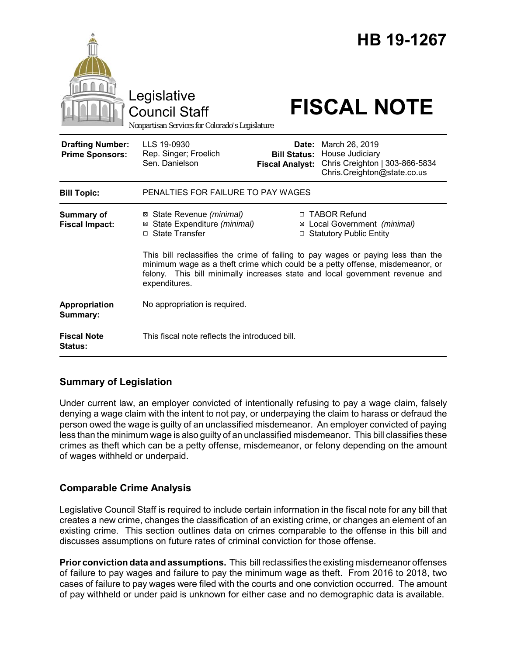|                                                   | Legislative<br><b>Council Staff</b><br>Nonpartisan Services for Colorado's Legislature        |                                                        | HB 19-1267<br><b>FISCAL NOTE</b>                                                                                                                                                                                                                 |
|---------------------------------------------------|-----------------------------------------------------------------------------------------------|--------------------------------------------------------|--------------------------------------------------------------------------------------------------------------------------------------------------------------------------------------------------------------------------------------------------|
| <b>Drafting Number:</b><br><b>Prime Sponsors:</b> | LLS 19-0930<br>Rep. Singer; Froelich<br>Sen. Danielson                                        | Date:<br><b>Bill Status:</b><br><b>Fiscal Analyst:</b> | March 26, 2019<br>House Judiciary<br>Chris Creighton   303-866-5834<br>Chris.Creighton@state.co.us                                                                                                                                               |
| <b>Bill Topic:</b>                                | PENALTIES FOR FAILURE TO PAY WAGES                                                            |                                                        |                                                                                                                                                                                                                                                  |
| <b>Summary of</b><br><b>Fiscal Impact:</b>        | ⊠ State Revenue (minimal)<br>⊠ State Expenditure (minimal)<br>□ State Transfer                |                                                        | □ TABOR Refund<br>⊠ Local Government (minimal)<br>□ Statutory Public Entity<br>This bill reclassifies the crime of failing to pay wages or paying less than the<br>minimum wage as a theft crime which could be a petty offense, misdemeanor, or |
|                                                   | felony. This bill minimally increases state and local government revenue and<br>expenditures. |                                                        |                                                                                                                                                                                                                                                  |
| Appropriation<br>Summary:                         | No appropriation is required.                                                                 |                                                        |                                                                                                                                                                                                                                                  |
| <b>Fiscal Note</b><br><b>Status:</b>              | This fiscal note reflects the introduced bill.                                                |                                                        |                                                                                                                                                                                                                                                  |

# **Summary of Legislation**

Under current law, an employer convicted of intentionally refusing to pay a wage claim, falsely denying a wage claim with the intent to not pay, or underpaying the claim to harass or defraud the person owed the wage is guilty of an unclassified misdemeanor. An employer convicted of paying less than the minimum wage is also guilty of an unclassified misdemeanor. This bill classifies these crimes as theft which can be a petty offense, misdemeanor, or felony depending on the amount of wages withheld or underpaid.

## **Comparable Crime Analysis**

Legislative Council Staff is required to include certain information in the fiscal note for any bill that creates a new crime, changes the classification of an existing crime, or changes an element of an existing crime. This section outlines data on crimes comparable to the offense in this bill and discusses assumptions on future rates of criminal conviction for those offense.

**Prior conviction data and assumptions.** This bill reclassifies the existing misdemeanor offenses of failure to pay wages and failure to pay the minimum wage as theft. From 2016 to 2018, two cases of failure to pay wages were filed with the courts and one conviction occurred. The amount of pay withheld or under paid is unknown for either case and no demographic data is available.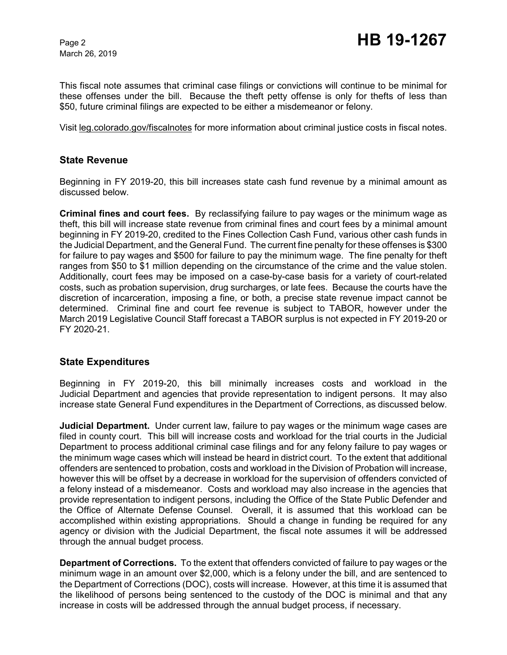March 26, 2019

This fiscal note assumes that criminal case filings or convictions will continue to be minimal for these offenses under the bill. Because the theft petty offense is only for thefts of less than \$50, future criminal filings are expected to be either a misdemeanor or felony.

Visit leg.colorado.gov/fiscalnotes for more information about criminal justice costs in fiscal notes.

## **State Revenue**

Beginning in FY 2019-20, this bill increases state cash fund revenue by a minimal amount as discussed below.

**Criminal fines and court fees.** By reclassifying failure to pay wages or the minimum wage as theft, this bill will increase state revenue from criminal fines and court fees by a minimal amount beginning in FY 2019-20, credited to the Fines Collection Cash Fund, various other cash funds in the Judicial Department, and the General Fund. The current fine penalty for these offenses is \$300 for failure to pay wages and \$500 for failure to pay the minimum wage. The fine penalty for theft ranges from \$50 to \$1 million depending on the circumstance of the crime and the value stolen. Additionally, court fees may be imposed on a case-by-case basis for a variety of court-related costs, such as probation supervision, drug surcharges, or late fees. Because the courts have the discretion of incarceration, imposing a fine, or both, a precise state revenue impact cannot be determined. Criminal fine and court fee revenue is subject to TABOR, however under the March 2019 Legislative Council Staff forecast a TABOR surplus is not expected in FY 2019-20 or FY 2020-21.

#### **State Expenditures**

Beginning in FY 2019-20, this bill minimally increases costs and workload in the Judicial Department and agencies that provide representation to indigent persons. It may also increase state General Fund expenditures in the Department of Corrections, as discussed below.

**Judicial Department.** Under current law, failure to pay wages or the minimum wage cases are filed in county court. This bill will increase costs and workload for the trial courts in the Judicial Department to process additional criminal case filings and for any felony failure to pay wages or the minimum wage cases which will instead be heard in district court. To the extent that additional offenders are sentenced to probation, costs and workload in the Division of Probation will increase, however this will be offset by a decrease in workload for the supervision of offenders convicted of a felony instead of a misdemeanor. Costs and workload may also increase in the agencies that provide representation to indigent persons, including the Office of the State Public Defender and the Office of Alternate Defense Counsel. Overall, it is assumed that this workload can be accomplished within existing appropriations. Should a change in funding be required for any agency or division with the Judicial Department, the fiscal note assumes it will be addressed through the annual budget process.

**Department of Corrections.** To the extent that offenders convicted of failure to pay wages or the minimum wage in an amount over \$2,000, which is a felony under the bill, and are sentenced to the Department of Corrections (DOC), costs will increase. However, at this time it is assumed that the likelihood of persons being sentenced to the custody of the DOC is minimal and that any increase in costs will be addressed through the annual budget process, if necessary.